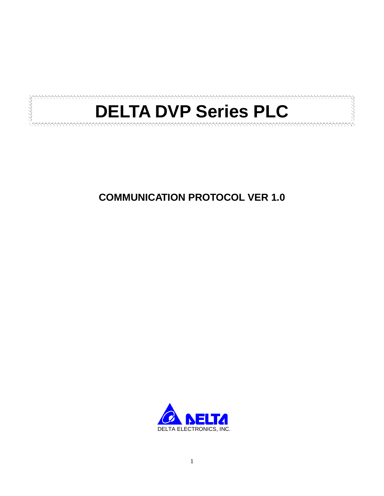

# **COMMUNICATION PROTOCOL VER 1.0**

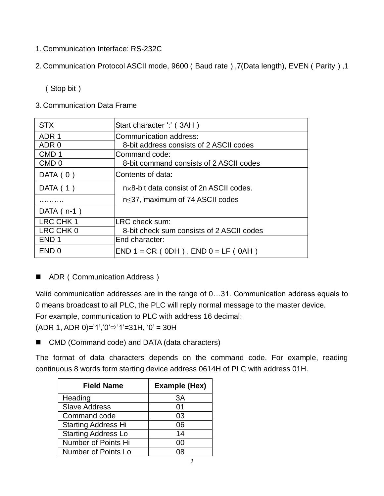- 1. Communication Interface: RS-232C
- 2. Communication Protocol ASCII mode, 9600(Baud rate),7(Data length), EVEN(Parity),1

(Stop bit)

3. Communication Data Frame

| <b>STX</b>       | Start character ".' (3AH)                         |
|------------------|---------------------------------------------------|
| ADR <sub>1</sub> | Communication address:                            |
| ADR 0            | 8-bit address consists of 2 ASCII codes           |
| CMD <sub>1</sub> | Command code:                                     |
| CMD <sub>0</sub> | 8-bit command consists of 2 ASCII codes           |
| DATA $(0)$       | Contents of data:                                 |
| DATA $(1)$       | $n \times 8$ -bit data consist of 2n ASCII codes. |
|                  | $n \leq 37$ , maximum of 74 ASCII codes           |
| DATA $(n-1)$     |                                                   |
| LRC CHK 1        | LRC check sum:                                    |
| LRC CHK 0        | 8-bit check sum consists of 2 ASCII codes         |
| END <sub>1</sub> | End character:                                    |
| END <sub>0</sub> | $END 1 = CR (ODH)$ , $END 0 = LF (OAH)$           |

ADR (Communication Address)

Valid communication addresses are in the range of 0…31. Communication address equals to 0 means broadcast to all PLC, the PLC will reply normal message to the master device. For example, communication to PLC with address 16 decimal:

 $(ADR 1, ADR 0)=1$ ', '0' $\Rightarrow$ '1'=31H, '0' = 30H

■ CMD (Command code) and DATA (data characters)

The format of data characters depends on the command code. For example, reading continuous 8 words form starting device address 0614H of PLC with address 01H.

| <b>Field Name</b>          | Example (Hex) |
|----------------------------|---------------|
| Heading                    | 3A            |
| <b>Slave Address</b>       | 01            |
| Command code               | 03            |
| <b>Starting Address Hi</b> | 06            |
| <b>Starting Address Lo</b> | 14            |
| Number of Points Hi        | იი            |
| Number of Points Lo        |               |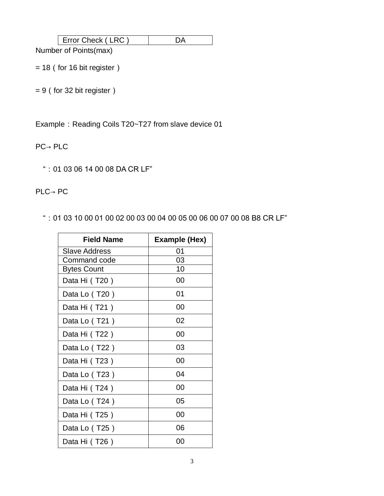| :heck<br>⊤rr∩r ∟ |  |
|------------------|--|
|------------------|--|

Number of Points(max)

 $= 18$  (for 16 bit register)

 $= 9$  (for 32 bit register)

Example: Reading Coils T20~T27 from slave device 01

PC→ PLC

":01 03 06 14 00 08 DA CR LF"

PLC→ PC

":01 03 10 00 01 00 02 00 03 00 04 00 05 00 06 00 07 00 08 B8 CR LF"

| <b>Field Name</b>  | Example (Hex) |
|--------------------|---------------|
| Slave Address      | 01            |
| Command code       | 03            |
| <b>Bytes Count</b> | 10            |
| Data Hi (T20)      | 00            |
| Data Lo (T20)      | 01            |
| Data Hi (T21)      | 00            |
| Data Lo (T21)      | 02            |
| Data Hi (T22)      | 00            |
| Data Lo (T22)      | 03            |
| Data Hi (T23)      | 00            |
| Data Lo (T23)      | 04            |
| Data Hi (T24)      | 00            |
| Data Lo (T24)      | 05            |
| Data Hi (T25)      | 00            |
| Data Lo (T25)      | 06            |
| Data Hi (T26)      | იი            |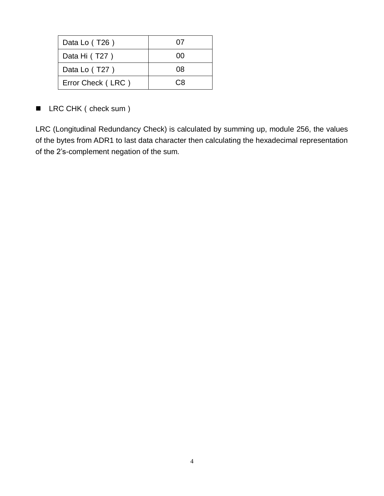| Data Lo (T26)     | 07  |
|-------------------|-----|
| Data Hi (T27)     | ΩO  |
| Data Lo (T27)     | 08  |
| Error Check (LRC) | C.R |

■ LRC CHK ( check sum )

LRC (Longitudinal Redundancy Check) is calculated by summing up, module 256, the values of the bytes from ADR1 to last data character then calculating the hexadecimal representation of the 2"s-complement negation of the sum.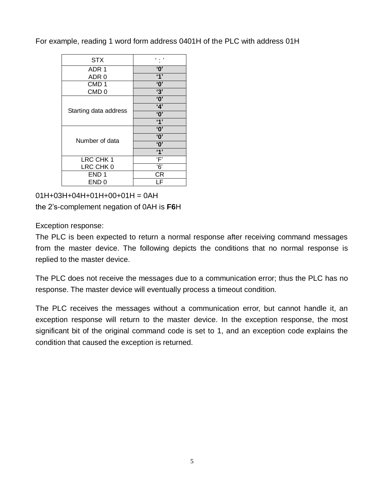For example, reading 1 word form address 0401H of the PLC with address 01H

| <b>STX</b>            |                         |
|-----------------------|-------------------------|
| ADR 1                 | $\overline{\mathbf{0}}$ |
| ADR 0                 | $\overline{4}$          |
| CMD <sub>1</sub>      | $^{\circ}$ 0'           |
| CMD <sub>0</sub>      | $\overline{3}$          |
|                       | $\overline{\mathbf{0}}$ |
| Starting data address | 4'                      |
|                       | $\overline{\mathbf{0}}$ |
|                       | 4'                      |
|                       | $^{\circ}$ O'           |
| Number of data        | $^{\circ}$              |
|                       | $^{\prime}$ O'          |
|                       | 4'                      |
| LRC CHK 1             | $\overline{F}$          |
| LRC CHK 0             | $\overline{6}$          |
| END <sub>1</sub>      | СR                      |
| END <sub>0</sub>      |                         |

01H+03H+04H+01H+00+01H = 0AH the 2"s-complement negation of 0AH is **F6**H

Exception response:

The PLC is been expected to return a normal response after receiving command messages from the master device. The following depicts the conditions that no normal response is replied to the master device.

The PLC does not receive the messages due to a communication error; thus the PLC has no response. The master device will eventually process a timeout condition.

The PLC receives the messages without a communication error, but cannot handle it, an exception response will return to the master device. In the exception response, the most significant bit of the original command code is set to 1, and an exception code explains the condition that caused the exception is returned.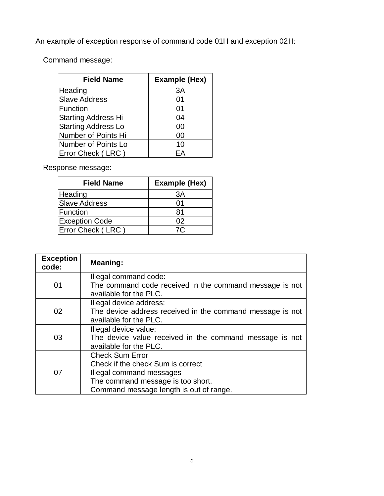An example of exception response of command code 01H and exception 02H:

Command message:

| <b>Field Name</b>          | Example (Hex) |
|----------------------------|---------------|
| Heading                    | 3A            |
| <b>Slave Address</b>       | 01            |
| Function                   | 01            |
| <b>Starting Address Hi</b> | 04            |
| <b>Starting Address Lo</b> | 00            |
| Number of Points Hi        | 00            |
| Number of Points Lo        | 10            |
| Error Check (LRC)          | FΑ            |

Response message:

| <b>Field Name</b>     | <b>Example (Hex)</b> |
|-----------------------|----------------------|
| Heading               | ЗA                   |
| <b>Slave Address</b>  | ი1                   |
| Function              | 81                   |
| <b>Exception Code</b> | 02                   |
| Error Check (LRC)     | 7C.                  |
|                       |                      |

| <b>Exception</b><br>code: | Meaning:                                                                         |
|---------------------------|----------------------------------------------------------------------------------|
| 01                        | Illegal command code:<br>The command code received in the command message is not |
|                           | available for the PLC.                                                           |
|                           | Illegal device address:                                                          |
| 02                        | The device address received in the command message is not                        |
|                           | available for the PLC.                                                           |
|                           | Illegal device value:                                                            |
| 03                        | The device value received in the command message is not                          |
|                           | available for the PLC.                                                           |
|                           | <b>Check Sum Error</b>                                                           |
|                           | Check if the check Sum is correct                                                |
| 07                        | Illegal command messages                                                         |
|                           | The command message is too short.                                                |
|                           | Command message length is out of range.                                          |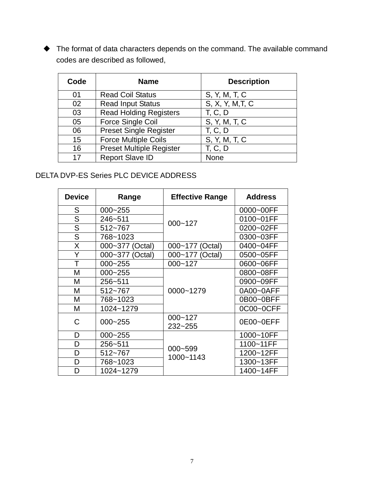The format of data characters depends on the command. The available command codes are described as followed,

| Code | <b>Name</b>                     | <b>Description</b> |
|------|---------------------------------|--------------------|
| 01   | <b>Read Coil Status</b>         | S, Y, M, T, C      |
| 02   | <b>Read Input Status</b>        | S, X, Y, M, T, C   |
| 03   | <b>Read Holding Registers</b>   | <b>T, C, D</b>     |
| 05   | Force Single Coil               | S, Y, M, T, C      |
| 06   | <b>Preset Single Register</b>   | <b>T. C. D</b>     |
| 15   | <b>Force Multiple Coils</b>     | S, Y, M, T, C      |
| 16   | <b>Preset Multiple Register</b> | T, C, D            |
| 17   | <b>Report Slave ID</b>          | None               |

## DELTA DVP-ES Series PLC DEVICE ADDRESS

| <b>Device</b>  | Range           | <b>Effective Range</b> | <b>Address</b> |
|----------------|-----------------|------------------------|----------------|
| S              | $000 - 255$     | $000 - 127$            | 0000~00FF      |
| S              | 246~511         |                        | 0100~01FF      |
| S              | 512~767         |                        | 0200~02FF      |
| $\overline{S}$ | 768~1023        |                        | 0300~03FF      |
| X              | 000~377 (Octal) | 000~177 (Octal)        | 0400~04FF      |
| Y              | 000~377 (Octal) | 000~177 (Octal)        | 0500~05FF      |
| T              | $000 - 255$     | $000 - 127$            | 0600~06FF      |
| М              | $000 - 255$     |                        | 0800~08FF      |
| Μ              | 256~511         |                        | 0900~09FF      |
| М              | 512~767         | 0000~1279              | 0A00~0AFF      |
| M              | 768~1023        |                        | 0B00~0BFF      |
| M              | 1024~1279       |                        | 0C00~0CFF      |
| C              | $000 - 255$     | $000 - 127$<br>232~255 | 0E00~0EFF      |
| D              | $000 - 255$     |                        | 1000~10FF      |
| D              | 256~511         |                        | 1100~11FF      |
| D              | 512~767         | 000~599                | 1200~12FF      |
| D              | 768~1023        | 1000~1143              | 1300~13FF      |
| D              | 1024~1279       |                        | 1400~14FF      |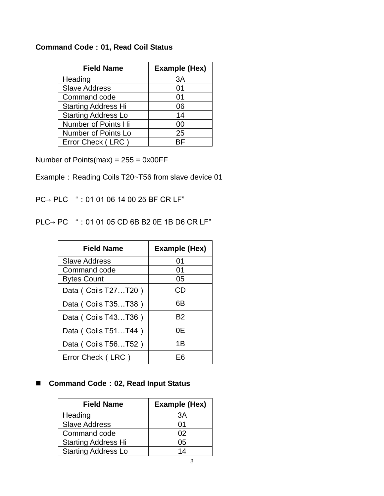#### **Command Code**:**01, Read Coil Status**

| <b>Field Name</b>          | <b>Example (Hex)</b> |
|----------------------------|----------------------|
| Heading                    | 3A                   |
| <b>Slave Address</b>       | 01                   |
| Command code               | 01                   |
| <b>Starting Address Hi</b> | 06                   |
| <b>Starting Address Lo</b> | 14                   |
| Number of Points Hi        | 00                   |
| Number of Points Lo        | 25                   |
| Error Check (LRC)          | RF                   |

Number of Points(max) =  $255 = 0x00FF$ 

- Example: Reading Coils T20~T56 from slave device 01
- PC→ PLC ":01 01 06 14 00 25 BF CR LF"
- PLC→ PC ":01 01 05 CD 6B B2 0E 1B D6 CR LF"

| <b>Field Name</b>     | <b>Example (Hex)</b> |
|-----------------------|----------------------|
| <b>Slave Address</b>  | 01                   |
| Command code          | 01                   |
| <b>Bytes Count</b>    | 05                   |
| Data ( Coils T27T20 ) | CD                   |
| Data ( Coils T35T38 ) | 6Β                   |
| Data ( Coils T43T36 ) | B2                   |
| Data ( Coils T51T44 ) | 0Ε                   |
| Data ( Coils T56T52 ) | 1Β                   |
| Error Check (LRC)     | F6                   |

## **Command Code**:**02, Read Input Status**

| <b>Field Name</b>          | <b>Example (Hex)</b> |
|----------------------------|----------------------|
| Heading                    | ЗA                   |
| <b>Slave Address</b>       | ሰ1                   |
| Command code               | 02                   |
| <b>Starting Address Hi</b> | 05                   |
| <b>Starting Address Lo</b> | 14                   |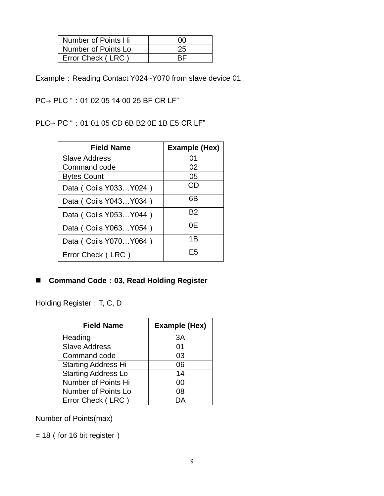| Number of Points Hi | ΩO |
|---------------------|----|
| Number of Points Lo | 25 |
| Error Check (LRC)   |    |

Example: Reading Contact Y024~Y070 from slave device 01

PC→ PLC ": 01 02 05 14 00 25 BF CR LF"

PLC→ PC ": 01 01 05 CD 6B B2 0E 1B E5 CR LF"

| <b>Field Name</b>        | <b>Example (Hex)</b> |
|--------------------------|----------------------|
| <b>Slave Address</b>     | 01                   |
| Command code             | 02                   |
| <b>Bytes Count</b>       | 05                   |
| Data ( Coils Y033Y024 )  | CD                   |
| Data ( Coils Y043 Y034 ) | 6Β                   |
| Data ( Coils Y053 Y044 ) | Β2                   |
| Data ( Coils Y063 Y054 ) | 0Ε                   |
| Data ( Coils Y070Y064 )  | 1B                   |
| Error Check (LRC)        | F5                   |

### **Command Code**:**03, Read Holding Register**

Holding Register: T, C, D

| <b>Field Name</b>          | <b>Example (Hex)</b> |
|----------------------------|----------------------|
| Heading                    | 3A                   |
| <b>Slave Address</b>       | 01                   |
| Command code               | 03                   |
| <b>Starting Address Hi</b> | 06                   |
| <b>Starting Address Lo</b> | 14                   |
| Number of Points Hi        | 00                   |
| Number of Points Lo        | 08                   |
| Error Check (LRC)          |                      |

## Number of Points(max)

 $= 18$  (for 16 bit register)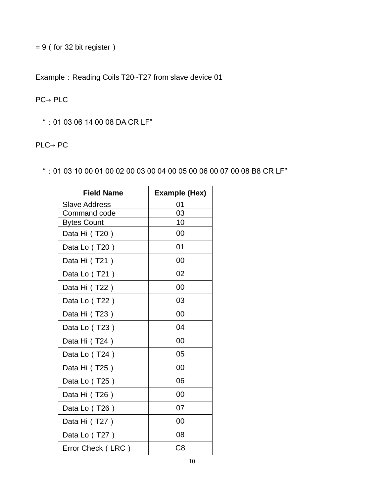= 9(for 32 bit register)

Example: Reading Coils T20~T27 from slave device 01

#### PC→ PLC

":01 03 06 14 00 08 DA CR LF"

## PLC→ PC

":01 03 10 00 01 00 02 00 03 00 04 00 05 00 06 00 07 00 08 B8 CR LF"

| <b>Field Name</b>    | Example (Hex)  |
|----------------------|----------------|
| <b>Slave Address</b> | 01             |
| Command code         | 03             |
| <b>Bytes Count</b>   | 10             |
| Data Hi (T20)        | 00             |
| Data Lo (T20)        | 01             |
| Data Hi (T21)        | 00             |
| Data Lo (T21)        | 02             |
| Data Hi (T22)        | 00             |
| Data Lo (T22)        | 03             |
| Data Hi (T23)        | 00             |
| Data Lo (T23)        | 04             |
| Data Hi (T24)        | 00             |
| Data Lo (T24)        | 05             |
| Data Hi (T25)        | 00             |
| Data Lo (T25)        | 06             |
| Data Hi (T26)        | 00             |
| Data Lo (T26)        | 07             |
| Data Hi (T27)        | 00             |
| Data Lo (T27)        | 08             |
| Error Check (LRC)    | C <sub>8</sub> |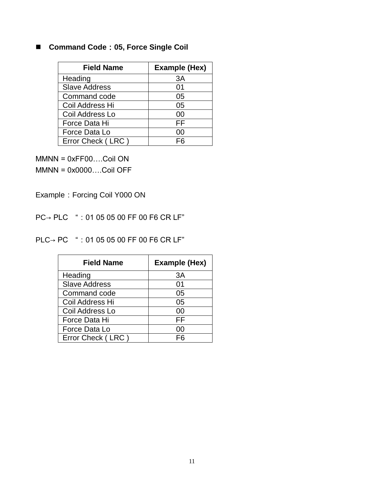# **Command Code**:**05, Force Single Coil**

| <b>Field Name</b>    | <b>Example (Hex)</b> |
|----------------------|----------------------|
| Heading              | 3A                   |
| <b>Slave Address</b> | 01                   |
| Command code         | 05                   |
| Coil Address Hi      | 05                   |
| Coil Address Lo      | 00                   |
| Force Data Hi        | FF                   |
| Force Data Lo        | 00                   |
| Error Check (LRC)    | FR                   |

MMNN = 0xFF00….Coil ON MMNN = 0x0000….Coil OFF

Example: Forcing Coil Y000 ON

PC→ PLC ": 01 05 05 00 FF 00 F6 CR LF"

PLC→ PC ":01 05 05 00 FF 00 F6 CR LF"

| <b>Field Name</b>    | <b>Example (Hex)</b> |
|----------------------|----------------------|
| Heading              | ЗA                   |
| <b>Slave Address</b> | 01                   |
| Command code         | 05                   |
| Coil Address Hi      | 05                   |
| Coil Address Lo      | 00                   |
| Force Data Hi        | FF                   |
| Force Data Lo        | იი                   |
| Error Check (LRC)    | F6                   |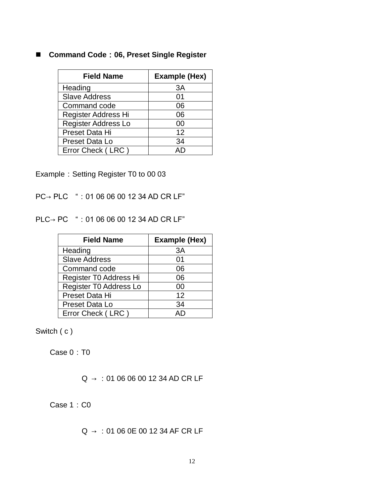#### **Command Code**:**06, Preset Single Register**

| <b>Field Name</b>          | <b>Example (Hex)</b> |
|----------------------------|----------------------|
| Heading                    | 3A                   |
| <b>Slave Address</b>       | 01                   |
| Command code               | 06                   |
| Register Address Hi        | 06                   |
| <b>Register Address Lo</b> | 00                   |
| Preset Data Hi             | 12                   |
| Preset Data Lo             | 34                   |
| Error Check (LRC)          |                      |

Example: Setting Register T0 to 00 03

PC→ PLC ":01 06 06 00 12 34 AD CR LF"

PLC→ PC ":01 06 06 00 12 34 AD CR LF"

| <b>Field Name</b>      | <b>Example (Hex)</b> |
|------------------------|----------------------|
| Heading                | 3A                   |
| <b>Slave Address</b>   | 01                   |
| Command code           | 06                   |
| Register T0 Address Hi | 06                   |
| Register T0 Address Lo | 00                   |
| Preset Data Hi         | 12                   |
| Preset Data Lo         | 34                   |
| Error Check (LRC)      |                      |

Switch (c)

Case 0: T0

 $Q \rightarrow :01 06 06 00 12 34 AD CR LF$ 

Case 1:C0

 $Q \rightarrow 01060E001234AF CR LF$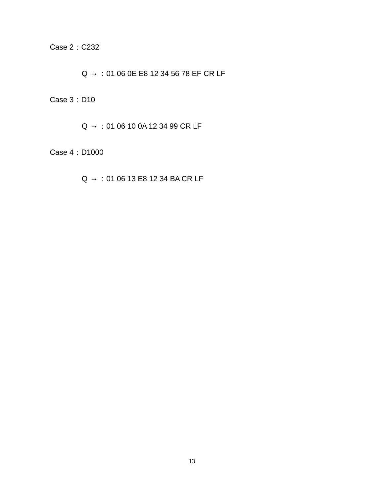Case 2:C232

 $Q \rightarrow :01 06 0E E8 12 34 56 78 EF CR LF$ 

Case 3:D10

 $Q \rightarrow 0106100A123499CRLF$ 

Case 4:D1000

 $Q \rightarrow :01 06 13 E8 12 34 BACR LF$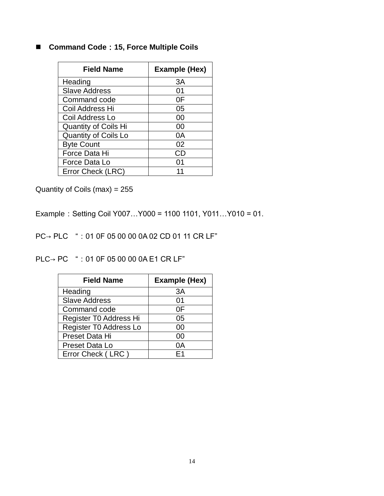# ■ Command Code: 15, Force Multiple Coils

| <b>Field Name</b>           | Example (Hex) |
|-----------------------------|---------------|
| Heading                     | 3A            |
| <b>Slave Address</b>        | 01            |
| Command code                | 0F            |
| Coil Address Hi             | 05            |
| Coil Address Lo             | 00            |
| <b>Quantity of Coils Hi</b> | 00            |
| <b>Quantity of Coils Lo</b> | 0Α            |
| <b>Byte Count</b>           | 02            |
| Force Data Hi               | CD            |
| Force Data Lo               | ი1            |
| Error Check (LRC)           |               |

Quantity of Coils (max) = 255

Example:Setting Coil Y007…Y000 = 1100 1101, Y011…Y010 = 01.

PC→ PLC ":01 0F 05 00 00 0A 02 CD 01 11 CR LF"

PLC→ PC ": 01 0F 05 00 00 0A E1 CR LF"

| <b>Field Name</b>      | <b>Example (Hex)</b> |
|------------------------|----------------------|
| Heading                | 3A                   |
| <b>Slave Address</b>   | 01                   |
| Command code           | 0F                   |
| Register T0 Address Hi | 05                   |
| Register T0 Address Lo | 00                   |
| Preset Data Hi         | 00                   |
| Preset Data Lo         | 0A                   |
| Error Check (LRC)      | Ε1                   |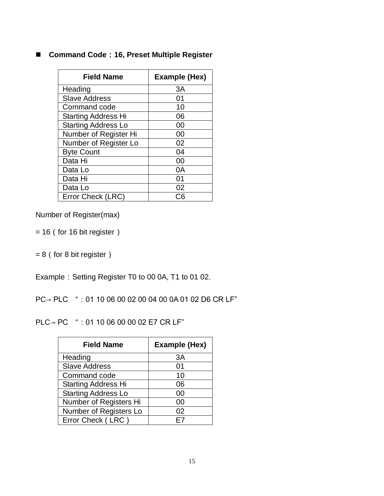#### **Command Code**:**16, Preset Multiple Register**

| <b>Field Name</b>          | Example (Hex) |  |  |
|----------------------------|---------------|--|--|
| Heading                    | 3A            |  |  |
| <b>Slave Address</b>       | 01            |  |  |
| Command code               | 10            |  |  |
| <b>Starting Address Hi</b> | 06            |  |  |
| <b>Starting Address Lo</b> | 00            |  |  |
| Number of Register Hi      | 00            |  |  |
| Number of Register Lo      | 02            |  |  |
| <b>Byte Count</b>          | 04            |  |  |
| Data Hi                    | იი            |  |  |
| Data Lo                    | 0A            |  |  |
| Data Hi                    | 01            |  |  |
| Data Lo                    | 02            |  |  |
| Error Check (LRC)          |               |  |  |

Number of Register(max)

 $= 16$  (for 16 bit register)

 $= 8$  (for 8 bit register)

Example: Setting Register T0 to 00 0A, T1 to 01 02.

PC→ PLC ":01 10 06 00 02 00 04 00 0A 01 02 D6 CR LF"

PLC→ PC ":01 10 06 00 00 02 E7 CR LF"

| <b>Field Name</b>          | <b>Example (Hex)</b> |  |  |
|----------------------------|----------------------|--|--|
| Heading                    | 3A                   |  |  |
| <b>Slave Address</b>       | 01                   |  |  |
| Command code               | 10                   |  |  |
| <b>Starting Address Hi</b> | 06                   |  |  |
| <b>Starting Address Lo</b> | 00                   |  |  |
| Number of Registers Hi     | იი                   |  |  |
| Number of Registers Lo     | 02                   |  |  |
| Error Check (LRC)          | F7                   |  |  |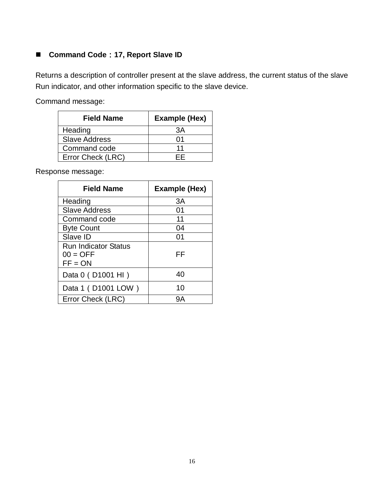#### ■ Command Code: 17, Report Slave ID

Returns a description of controller present at the slave address, the current status of the slave Run indicator, and other information specific to the slave device.

Command message:

| <b>Field Name</b>    | <b>Example (Hex)</b> |  |  |  |
|----------------------|----------------------|--|--|--|
| Heading              | ЗA                   |  |  |  |
| <b>Slave Address</b> | ሰ1                   |  |  |  |
| Command code         | 11                   |  |  |  |
| Error Check (LRC)    |                      |  |  |  |

Response message:

| <b>Field Name</b>                                      | Example (Hex) |
|--------------------------------------------------------|---------------|
| Heading                                                | 3A            |
| <b>Slave Address</b>                                   | 01            |
| Command code                                           | 11            |
| <b>Byte Count</b>                                      | 04            |
| Slave ID                                               | 01            |
| <b>Run Indicator Status</b><br>$00 = OFF$<br>$FF = ON$ | FF            |
| Data 0 (D1001 HI)                                      | 40            |
| Data 1 (D1001 LOW)                                     | 10            |
| Error Check (LRC)                                      | gΑ            |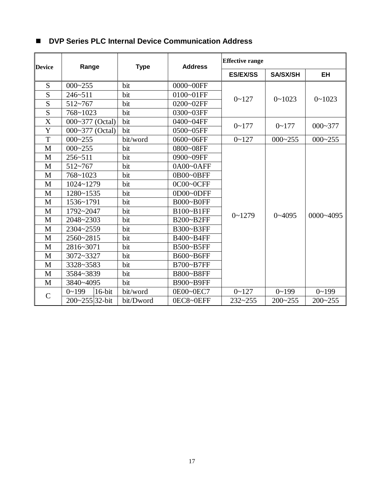| <b>Device</b>  | Range                  | <b>Type</b> | <b>Address</b> | <b>Effective range</b> |                 |             |
|----------------|------------------------|-------------|----------------|------------------------|-----------------|-------------|
|                |                        |             |                | <b>ES/EX/SS</b>        | <b>SA/SX/SH</b> | <b>EH</b>   |
| S              | $000 - 255$            | bit         | 0000~00FF      |                        | $0 - 1023$      | $0 - 1023$  |
| $\overline{S}$ | $246 - 511$            | bit         | 0100~01FF      | $0 - 127$              |                 |             |
| S              | $512 - 767$            | bit         | 0200~02FF      |                        |                 |             |
| $\overline{S}$ | 768~1023               | bit         | 0300~03FF      |                        |                 |             |
| X              | 000~377 (Octal)        | bit         | 0400~04FF      | $0 - 177$              | $0 - 177$       | $000 - 377$ |
| Y              | 000~377 (Octal)        | bit         | 0500~05FF      |                        |                 |             |
| T              | $000 - 255$            | bit/word    | 0600~06FF      | $0 - 127$              | $000 - 255$     | $000 - 255$ |
| $\mathbf{M}$   | $000 - 255$            | bit         | 0800~08FF      |                        |                 | 0000~4095   |
| M              | $256 - 511$            | bit         | 0900~09FF      |                        |                 |             |
| M              | $512 - 767$            | bit         | 0A00~0AFF      |                        |                 |             |
| M              | 768~1023               | bit         | 0B00~0BFF      |                        |                 |             |
| M              | $1024 - 1279$          | bit         | 0C00~0CFF      |                        | $0 - 4095$      |             |
| M              | 1280~1535              | bit         | 0D00~0DFF      |                        |                 |             |
| $\mathbf M$    | 1536~1791              | bit         | B000~B0FF      |                        |                 |             |
| M              | 1792~2047              | bit         | B100~B1FF      |                        |                 |             |
| $\mathbf M$    | 2048~2303              | bit         | B200~B2FF      | $0 - 1279$             |                 |             |
| M              | 2304~2559              | bit         | B300~B3FF      |                        |                 |             |
| M              | 2560~2815              | bit         | B400~B4FF      |                        |                 |             |
| M              | 2816~3071              | bit         | B500~B5FF      |                        |                 |             |
| M              | 3072~3327              | bit         | B600~B6FF      |                        |                 |             |
| M              | 3328~3583              | bit         | B700~B7FF      |                        |                 |             |
| M              | 3584~3839              | bit         | B800~B8FF      |                        |                 |             |
| M              | 3840~4095              | bit         | B900~B9FF      |                        |                 |             |
| $\mathcal{C}$  | $16$ -bit<br>$0 - 199$ | bit/word    | 0E00~0EC7      | $0 - 127$              | $0 - 199$       | $0 - 199$   |
|                | $200 - 255$ 32-bit     | bit/Dword   | 0EC8~0EFF      | $232 - 255$            | $200 - 255$     | $200 - 255$ |

#### **DVP Series PLC Internal Device Communication Address**